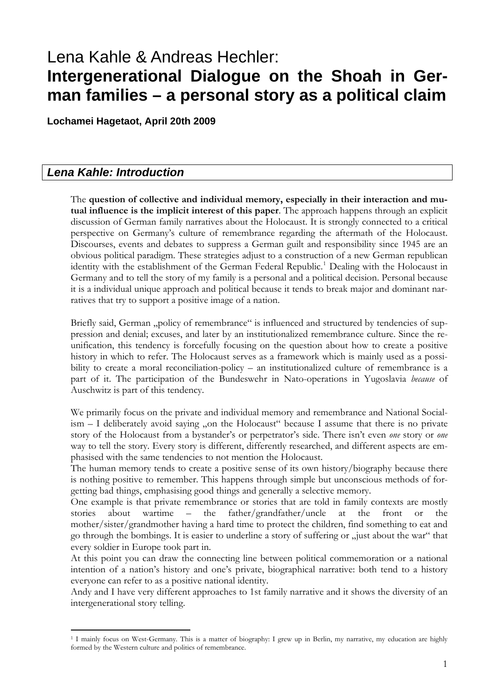# Lena Kahle & Andreas Hechler: **Intergenerational Dialogue on the Shoah in German families – a personal story as a political claim**

**Lochamei Hagetaot, April 20th 2009** 

# *Lena Kahle: Introduction*

-

The **question of collective and individual memory, especially in their interaction and mutual influence is the implicit interest of this paper**. The approach happens through an explicit discussion of German family narratives about the Holocaust. It is strongly connected to a critical perspective on Germany's culture of remembrance regarding the aftermath of the Holocaust. Discourses, events and debates to suppress a German guilt and responsibility since 1945 are an obvious political paradigm. These strategies adjust to a construction of a new German republican identity with the establishment of the German Federal Republic.<sup>[1](#page-0-0)</sup> Dealing with the Holocaust in Germany and to tell the story of my family is a personal and a political decision. Personal because it is a individual unique approach and political because it tends to break major and dominant narratives that try to support a positive image of a nation.

Briefly said, German "policy of remembrance" is influenced and structured by tendencies of suppression and denial; excuses, and later by an institutionalized remembrance culture. Since the reunification, this tendency is forcefully focusing on the question about how to create a positive history in which to refer. The Holocaust serves as a framework which is mainly used as a possibility to create a moral reconciliation-policy – an institutionalized culture of remembrance is a part of it. The participation of the Bundeswehr in Nato-operations in Yugoslavia *because* of Auschwitz is part of this tendency.

We primarily focus on the private and individual memory and remembrance and National Social $i$ sm  $-$  I deliberately avoid saying "on the Holocaust" because I assume that there is no private story of the Holocaust from a bystander's or perpetrator's side. There isn't even *one* story or *one* way to tell the story. Every story is different, differently researched, and different aspects are emphasised with the same tendencies to not mention the Holocaust.

The human memory tends to create a positive sense of its own history/biography because there is nothing positive to remember. This happens through simple but unconscious methods of forgetting bad things, emphasising good things and generally a selective memory.

One example is that private remembrance or stories that are told in family contexts are mostly stories about wartime – the father/grandfather/uncle at the front or the mother/sister/grandmother having a hard time to protect the children, find something to eat and go through the bombings. It is easier to underline a story of suffering or  $\alpha$  just about the war" that every soldier in Europe took part in.

At this point you can draw the connecting line between political commemoration or a national intention of a nation's history and one's private, biographical narrative: both tend to a history everyone can refer to as a positive national identity.

Andy and I have very different approaches to 1st family narrative and it shows the diversity of an intergenerational story telling.

<span id="page-0-0"></span><sup>1</sup> I mainly focus on West-Germany. This is a matter of biography: I grew up in Berlin, my narrative, my education are highly formed by the Western culture and politics of remembrance.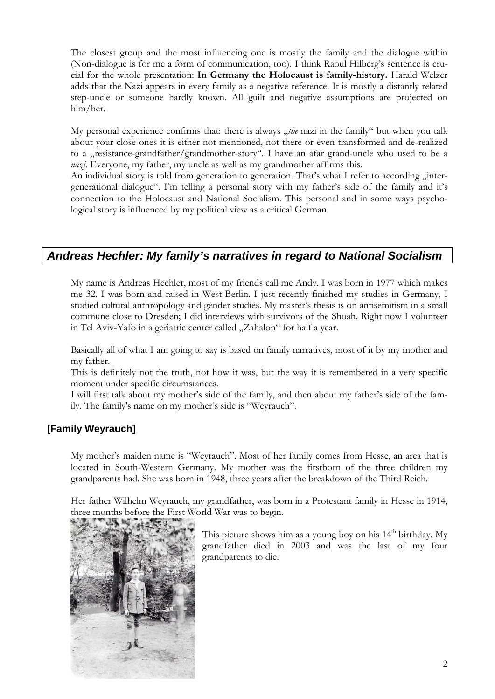The closest group and the most influencing one is mostly the family and the dialogue within (Non-dialogue is for me a form of communication, too). I think Raoul Hilberg's sentence is crucial for the whole presentation: **In Germany the Holocaust is family-history.** Harald Welzer adds that the Nazi appears in every family as a negative reference. It is mostly a distantly related step-uncle or someone hardly known. All guilt and negative assumptions are projected on him/her.

My personal experience confirms that: there is always "the nazi in the family" but when you talk about your close ones it is either not mentioned, not there or even transformed and de-realized to a *resistance-grandfather/grandmother-story*". I have an afar grand-uncle who used to be a *nazi*. Everyone, my father, my uncle as well as my grandmother affirms this.

An individual story is told from generation to generation. That's what I refer to according "intergenerational dialogue". I'm telling a personal story with my father's side of the family and it's connection to the Holocaust and National Socialism. This personal and in some ways psychological story is influenced by my political view as a critical German.

# *Andreas Hechler: My family's narratives in regard to National Socialism*

My name is Andreas Hechler, most of my friends call me Andy. I was born in 1977 which makes me 32. I was born and raised in West-Berlin. I just recently finished my studies in Germany, I studied cultural anthropology and gender studies. My master's thesis is on antisemitism in a small commune close to Dresden; I did interviews with survivors of the Shoah. Right now I volunteer in Tel Aviv-Yafo in a geriatric center called "Zahalon" for half a year.

Basically all of what I am going to say is based on family narratives, most of it by my mother and my father.

This is definitely not the truth, not how it was, but the way it is remembered in a very specific moment under specific circumstances.

I will first talk about my mother's side of the family, and then about my father's side of the family. The family's name on my mother's side is "Weyrauch".

# **[Family Weyrauch]**

My mother's maiden name is "Weyrauch". Most of her family comes from Hesse, an area that is located in South-Western Germany. My mother was the firstborn of the three children my grandparents had. She was born in 1948, three years after the breakdown of the Third Reich.

Her father Wilhelm Weyrauch, my grandfather, was born in a Protestant family in Hesse in 1914, three months before the First World War was to begin.



This picture shows him as a young boy on his  $14<sup>th</sup>$  birthday. My grandfather died in 2003 and was the last of my four grandparents to die.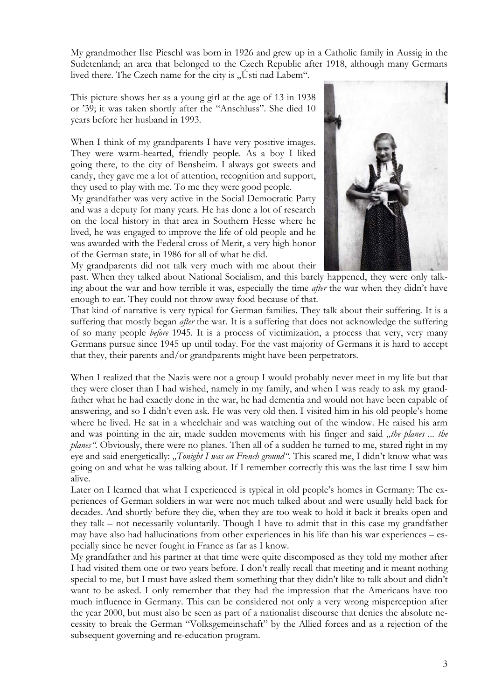My grandmother Ilse Pieschl was born in 1926 and grew up in a Catholic family in Aussig in the Sudetenland; an area that belonged to the Czech Republic after 1918, although many Germans lived there. The Czech name for the city is  $\sqrt{U}$ sti nad Labem".

This picture shows her as a young girl at the age of 13 in 1938 or '39; it was taken shortly after the "Anschluss". She died 10 years before her husband in 1993.

When I think of my grandparents I have very positive images. They were warm-hearted, friendly people. As a boy I liked going there, to the city of Bensheim. I always got sweets and candy, they gave me a lot of attention, recognition and support, they used to play with me. To me they were good people.

My grandfather was very active in the Social Democratic Party and was a deputy for many years. He has done a lot of research on the local history in that area in Southern Hesse where he lived, he was engaged to improve the life of old people and he was awarded with the Federal cross of Merit, a very high honor of the German state, in 1986 for all of what he did.

My grandparents did not talk very much with me about their



past. When they talked about National Socialism, and this barely happened, they were only talking about the war and how terrible it was, especially the time *after* the war when they didn't have enough to eat. They could not throw away food because of that.

That kind of narrative is very typical for German families. They talk about their suffering. It is a suffering that mostly began *after* the war. It is a suffering that does not acknowledge the suffering of so many people *before* 1945. It is a process of victimization, a process that very, very many Germans pursue since 1945 up until today. For the vast majority of Germans it is hard to accept that they, their parents and/or grandparents might have been perpetrators.

When I realized that the Nazis were not a group I would probably never meet in my life but that they were closer than I had wished, namely in my family, and when I was ready to ask my grandfather what he had exactly done in the war, he had dementia and would not have been capable of answering, and so I didn't even ask. He was very old then. I visited him in his old people's home where he lived. He sat in a wheelchair and was watching out of the window. He raised his arm and was pointing in the air, made sudden movements with his finger and said "the planes ... the *planes"*. Obviously, there were no planes. Then all of a sudden he turned to me, stared right in my eye and said energetically: "Tonight I was on French ground". This scared me, I didn't know what was going on and what he was talking about. If I remember correctly this was the last time I saw him alive.

Later on I learned that what I experienced is typical in old people's homes in Germany: The experiences of German soldiers in war were not much talked about and were usually held back for decades. And shortly before they die, when they are too weak to hold it back it breaks open and they talk – not necessarily voluntarily. Though I have to admit that in this case my grandfather may have also had hallucinations from other experiences in his life than his war experiences – especially since he never fought in France as far as I know.

My grandfather and his partner at that time were quite discomposed as they told my mother after I had visited them one or two years before. I don't really recall that meeting and it meant nothing special to me, but I must have asked them something that they didn't like to talk about and didn't want to be asked. I only remember that they had the impression that the Americans have too much influence in Germany. This can be considered not only a very wrong misperception after the year 2000, but must also be seen as part of a nationalist discourse that denies the absolute necessity to break the German "Volksgemeinschaft" by the Allied forces and as a rejection of the subsequent governing and re-education program.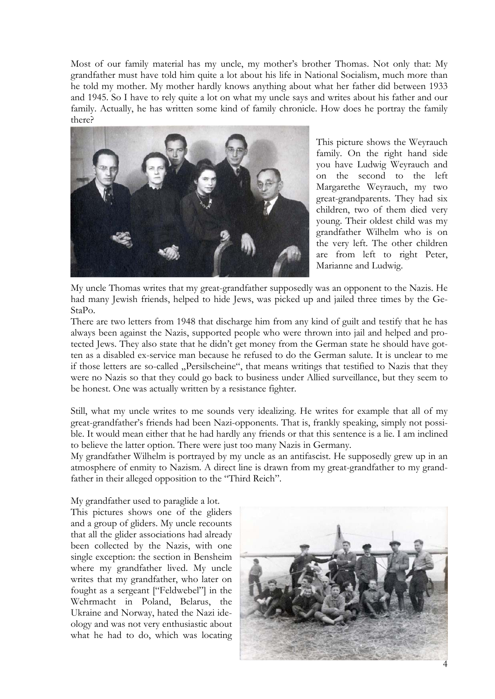Most of our family material has my uncle, my mother's brother Thomas. Not only that: My grandfather must have told him quite a lot about his life in National Socialism, much more than he told my mother. My mother hardly knows anything about what her father did between 1933 and 1945. So I have to rely quite a lot on what my uncle says and writes about his father and our family. Actually, he has written some kind of family chronicle. How does he portray the family there?



This picture shows the Weyrauch family. On the right hand side you have Ludwig Weyrauch and on the second to the left Margarethe Weyrauch, my two great-grandparents. They had six children, two of them died very young. Their oldest child was my grandfather Wilhelm who is on the very left. The other children are from left to right Peter, Marianne and Ludwig.

My uncle Thomas writes that my great-grandfather supposedly was an opponent to the Nazis. He had many Jewish friends, helped to hide Jews, was picked up and jailed three times by the Ge-StaPo.

There are two letters from 1948 that discharge him from any kind of guilt and testify that he has always been against the Nazis, supported people who were thrown into jail and helped and protected Jews. They also state that he didn't get money from the German state he should have gotten as a disabled ex-service man because he refused to do the German salute. It is unclear to me if those letters are so-called "Persilscheine", that means writings that testified to Nazis that they were no Nazis so that they could go back to business under Allied surveillance, but they seem to be honest. One was actually written by a resistance fighter.

Still, what my uncle writes to me sounds very idealizing. He writes for example that all of my great-grandfather's friends had been Nazi-opponents. That is, frankly speaking, simply not possible. It would mean either that he had hardly any friends or that this sentence is a lie. I am inclined to believe the latter option. There were just too many Nazis in Germany.

My grandfather Wilhelm is portrayed by my uncle as an antifascist. He supposedly grew up in an atmosphere of enmity to Nazism. A direct line is drawn from my great-grandfather to my grandfather in their alleged opposition to the "Third Reich".

My grandfather used to paraglide a lot.

This pictures shows one of the gliders and a group of gliders. My uncle recounts that all the glider associations had already been collected by the Nazis, with one single exception: the section in Bensheim where my grandfather lived. My uncle writes that my grandfather, who later on fought as a sergeant ["Feldwebel"] in the Wehrmacht in Poland, Belarus, the Ukraine and Norway, hated the Nazi ideology and was not very enthusiastic about what he had to do, which was locating

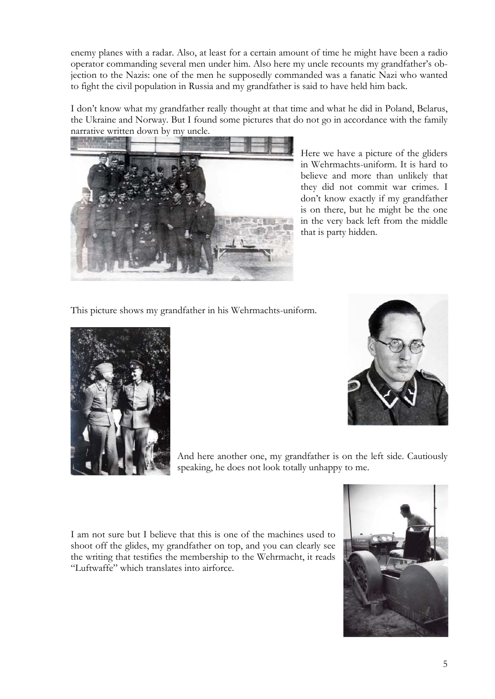enemy planes with a radar. Also, at least for a certain amount of time he might have been a radio operator commanding several men under him. Also here my uncle recounts my grandfather's objection to the Nazis: one of the men he supposedly commanded was a fanatic Nazi who wanted to fight the civil population in Russia and my grandfather is said to have held him back.

I don't know what my grandfather really thought at that time and what he did in Poland, Belarus, the Ukraine and Norway. But I found some pictures that do not go in accordance with the family narrative written down by my uncle.



Here we have a picture of the gliders in Wehrmachts-uniform. It is hard to believe and more than unlikely that they did not commit war crimes. I don't know exactly if my grandfather is on there, but he might be the one in the very back left from the middle that is party hidden.

This picture shows my grandfather in his Wehrmachts-uniform.





And here another one, my grandfather is on the left side. Cautiously speaking, he does not look totally unhappy to me.

I am not sure but I believe that this is one of the machines used to shoot off the glides, my grandfather on top, and you can clearly see the writing that testifies the membership to the Wehrmacht, it reads "Luftwaffe" which translates into airforce.

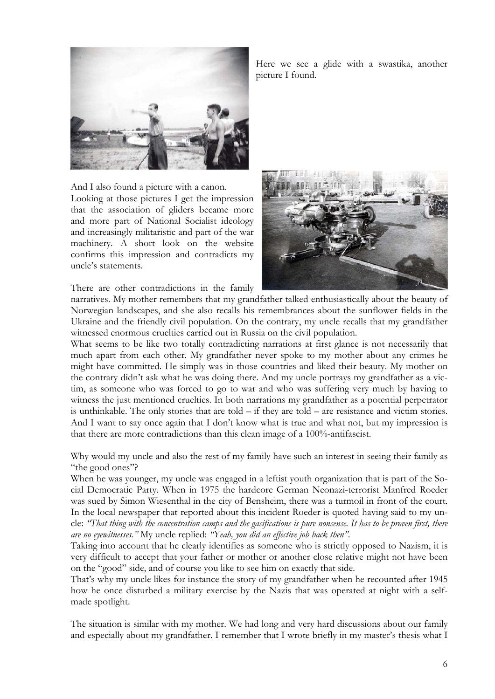

And I also found a picture with a canon.

Looking at those pictures I get the impression that the association of gliders became more and more part of National Socialist ideology and increasingly militaristic and part of the war machinery. A short look on the website confirms this impression and contradicts my uncle's statements.

There are other contradictions in the family

Here we see a glide with a swastika, another picture I found.



narratives. My mother remembers that my grandfather talked enthusiastically about the beauty of Norwegian landscapes, and she also recalls his remembrances about the sunflower fields in the Ukraine and the friendly civil population. On the contrary, my uncle recalls that my grandfather witnessed enormous cruelties carried out in Russia on the civil population.

What seems to be like two totally contradicting narrations at first glance is not necessarily that much apart from each other. My grandfather never spoke to my mother about any crimes he might have committed. He simply was in those countries and liked their beauty. My mother on the contrary didn't ask what he was doing there. And my uncle portrays my grandfather as a victim, as someone who was forced to go to war and who was suffering very much by having to witness the just mentioned cruelties. In both narrations my grandfather as a potential perpetrator is unthinkable. The only stories that are told – if they are told – are resistance and victim stories. And I want to say once again that I don't know what is true and what not, but my impression is that there are more contradictions than this clean image of a 100%-antifascist.

Why would my uncle and also the rest of my family have such an interest in seeing their family as "the good ones"?

When he was younger, my uncle was engaged in a leftist youth organization that is part of the Social Democratic Party. When in 1975 the hardcore German Neonazi-terrorist Manfred Roeder was sued by Simon Wiesenthal in the city of Bensheim, there was a turmoil in front of the court. In the local newspaper that reported about this incident Roeder is quoted having said to my uncle: *"That thing with the concentration camps and the gasifications is pure nonsense. It has to be proven first, there are no eyewitnesses."* My uncle replied: *"Yeah, you did an effective job back then"*.

Taking into account that he clearly identifies as someone who is strictly opposed to Nazism, it is very difficult to accept that your father or mother or another close relative might not have been on the "good" side, and of course you like to see him on exactly that side.

That's why my uncle likes for instance the story of my grandfather when he recounted after 1945 how he once disturbed a military exercise by the Nazis that was operated at night with a selfmade spotlight.

The situation is similar with my mother. We had long and very hard discussions about our family and especially about my grandfather. I remember that I wrote briefly in my master's thesis what I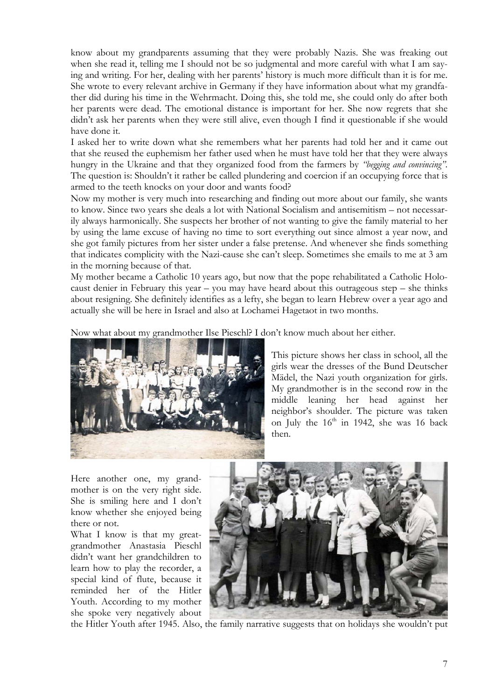know about my grandparents assuming that they were probably Nazis. She was freaking out when she read it, telling me I should not be so judgmental and more careful with what I am saying and writing. For her, dealing with her parents' history is much more difficult than it is for me. She wrote to every relevant archive in Germany if they have information about what my grandfather did during his time in the Wehrmacht. Doing this, she told me, she could only do after both her parents were dead. The emotional distance is important for her. She now regrets that she didn't ask her parents when they were still alive, even though I find it questionable if she would have done it.

I asked her to write down what she remembers what her parents had told her and it came out that she reused the euphemism her father used when he must have told her that they were always hungry in the Ukraine and that they organized food from the farmers by *"begging and convincing"*. The question is: Shouldn't it rather be called plundering and coercion if an occupying force that is armed to the teeth knocks on your door and wants food?

Now my mother is very much into researching and finding out more about our family, she wants to know. Since two years she deals a lot with National Socialism and antisemitism – not necessarily always harmonically. She suspects her brother of not wanting to give the family material to her by using the lame excuse of having no time to sort everything out since almost a year now, and she got family pictures from her sister under a false pretense. And whenever she finds something that indicates complicity with the Nazi-cause she can't sleep. Sometimes she emails to me at 3 am in the morning because of that.

My mother became a Catholic 10 years ago, but now that the pope rehabilitated a Catholic Holocaust denier in February this year – you may have heard about this outrageous step – she thinks about resigning. She definitely identifies as a lefty, she began to learn Hebrew over a year ago and actually she will be here in Israel and also at Lochamei Hagetaot in two months.

Now what about my grandmother Ilse Pieschl? I don't know much about her either.



This picture shows her class in school, all the girls wear the dresses of the Bund Deutscher Mädel, the Nazi youth organization for girls. My grandmother is in the second row in the middle leaning her head against her neighbor's shoulder. The picture was taken on July the  $16<sup>th</sup>$  in 1942, she was 16 back then.

Here another one, my grandmother is on the very right side. She is smiling here and I don't know whether she enjoyed being there or not.

What I know is that my greatgrandmother Anastasia Pieschl didn't want her grandchildren to learn how to play the recorder, a special kind of flute, because it reminded her of the Hitler Youth. According to my mother she spoke very negatively about



the Hitler Youth after 1945. Also, the family narrative suggests that on holidays she wouldn't put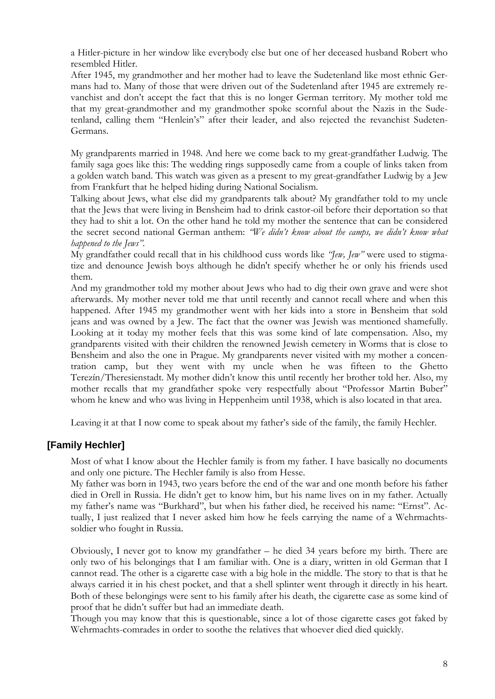a Hitler-picture in her window like everybody else but one of her deceased husband Robert who resembled Hitler.

After 1945, my grandmother and her mother had to leave the Sudetenland like most ethnic Germans had to. Many of those that were driven out of the Sudetenland after 1945 are extremely revanchist and don't accept the fact that this is no longer German territory. My mother told me that my great-grandmother and my grandmother spoke scornful about the Nazis in the Sudetenland, calling them "Henlein's" after their leader, and also rejected the revanchist Sudeten-Germans.

My grandparents married in 1948. And here we come back to my great-grandfather Ludwig. The family saga goes like this: The wedding rings supposedly came from a couple of links taken from a golden watch band. This watch was given as a present to my great-grandfather Ludwig by a Jew from Frankfurt that he helped hiding during National Socialism.

Talking about Jews, what else did my grandparents talk about? My grandfather told to my uncle that the Jews that were living in Bensheim had to drink castor-oil before their deportation so that they had to shit a lot. On the other hand he told my mother the sentence that can be considered the secret second national German anthem: *"We didn't know about the camps, we didn't know what happened to the Jews"*.

My grandfather could recall that in his childhood cuss words like *"Jew, Jew"* were used to stigmatize and denounce Jewish boys although he didn't specify whether he or only his friends used them.

And my grandmother told my mother about Jews who had to dig their own grave and were shot afterwards. My mother never told me that until recently and cannot recall where and when this happened. After 1945 my grandmother went with her kids into a store in Bensheim that sold jeans and was owned by a Jew. The fact that the owner was Jewish was mentioned shamefully. Looking at it today my mother feels that this was some kind of late compensation. Also, my grandparents visited with their children the renowned Jewish cemetery in Worms that is close to Bensheim and also the one in Prague. My grandparents never visited with my mother a concentration camp, but they went with my uncle when he was fifteen to the Ghetto Terezín/Theresienstadt. My mother didn't know this until recently her brother told her. Also, my mother recalls that my grandfather spoke very respectfully about "Professor Martin Buber" whom he knew and who was living in Heppenheim until 1938, which is also located in that area.

Leaving it at that I now come to speak about my father's side of the family, the family Hechler.

## **[Family Hechler]**

Most of what I know about the Hechler family is from my father. I have basically no documents and only one picture. The Hechler family is also from Hesse.

My father was born in 1943, two years before the end of the war and one month before his father died in Orell in Russia. He didn't get to know him, but his name lives on in my father. Actually my father's name was "Burkhard", but when his father died, he received his name: "Ernst". Actually, I just realized that I never asked him how he feels carrying the name of a Wehrmachtssoldier who fought in Russia.

Obviously, I never got to know my grandfather – he died 34 years before my birth. There are only two of his belongings that I am familiar with. One is a diary, written in old German that I cannot read. The other is a cigarette case with a big hole in the middle. The story to that is that he always carried it in his chest pocket, and that a shell splinter went through it directly in his heart. Both of these belongings were sent to his family after his death, the cigarette case as some kind of proof that he didn't suffer but had an immediate death.

Though you may know that this is questionable, since a lot of those cigarette cases got faked by Wehrmachts-comrades in order to soothe the relatives that whoever died died quickly.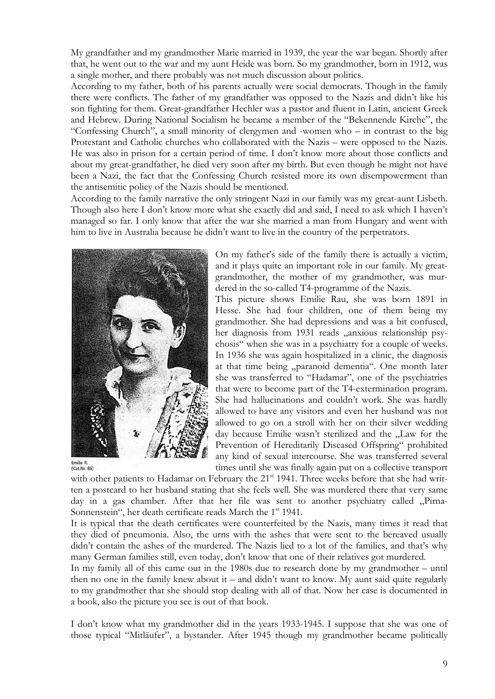My grandfather and my grandmother Marie married in 1939, the year the war began. Shortly after that, he went out to the war and my aunt Heide was born. So my grandmother, born in 1912, was a single mother, and there probably was not much discussion about politics.

According to my father, both of his parents actually were social democrats. Though in the family there were conflicts. The father of my grandfather was opposed to the Nazis and didn't like his son fighting for them. Great-grandfather Hechler was a pastor and fluent in Latin, ancient Greek and Hebrew. During National Socialism he became a member of the "Bekennende Kirche", the "Confessing Church", a small minority of clergymen and -women who – in contrast to the big Protestant and Catholic churches who collaborated with the Nazis – were opposed to the Nazis. He was also in prison for a certain period of time. I don't know more about those conflicts and about my great-grandfather, he died very soon after my birth. But even though he might not have been a Nazi, the fact that the Confessing Church resisted more its own disempowerment than the antisemitic policy of the Nazis should be mentioned.

According to the family narrative the only stringent Nazi in our family was my great-aunt Lisbeth. Though also here I don't know more what she exactly did and said, I need to ask which I haven't managed so far. I only know that after the war she married a man from Hungary and went with him to live in Australia because he didn't want to live in the country of the perpetrators.



Emilie R.<br>(Kat.Nr. 86)

On my father's side of the family there is actually a victim, and it plays quite an important role in our family. My greatgrandmother, the mother of my grandmother, was murdered in the so-called T4-programme of the Nazis.

This picture shows Emilie Rau, she was born 1891 in Hesse. She had four children, one of them being my grandmother. She had depressions and was a bit confused, her diagnosis from 1931 reads "anxious relationship psychosis" when she was in a psychiatry for a couple of weeks. In 1936 she was again hospitalized in a clinic, the diagnosis at that time being "paranoid dementia". One month later she was transferred to "Hadamar", one of the psychiatries that were to become part of the T4-extermination program. She had hallucinations and couldn't work. She was hardly allowed to have any visitors and even her husband was not allowed to go on a stroll with her on their silver wedding day because Emilie wasn't sterilized and the "Law for the Prevention of Hereditarily Diseased Offspring" prohibited any kind of sexual intercourse. She was transferred several times until she was finally again put on a collective transport

with other patients to Hadamar on February the 21<sup>st</sup> 1941. Three weeks before that she had written a postcard to her husband stating that she feels well. She was murdered there that very same day in a gas chamber. After that her file was sent to another psychiatry called "Pirna-Sonnenstein", her death certificate reads March the 1<sup>st</sup> 1941.

It is typical that the death certificates were counterfeited by the Nazis, many times it read that they died of pneumonia. Also, the urns with the ashes that were sent to the bereaved usually didn't contain the ashes of the murdered. The Nazis lied to a lot of the families, and that's why many German families still, even today, don't know that one of their relatives got murdered.

In my family all of this came out in the 1980s due to research done by my grandmother – until then no one in the family knew about it – and didn't want to know. My aunt said quite regularly to my grandmother that she should stop dealing with all of that. Now her case is documented in a book, also the picture you see is out of that book.

I don't know what my grandmother did in the years 1933-1945. I suppose that she was one of those typical "Mitläufer", a bystander. After 1945 though my grandmother became politically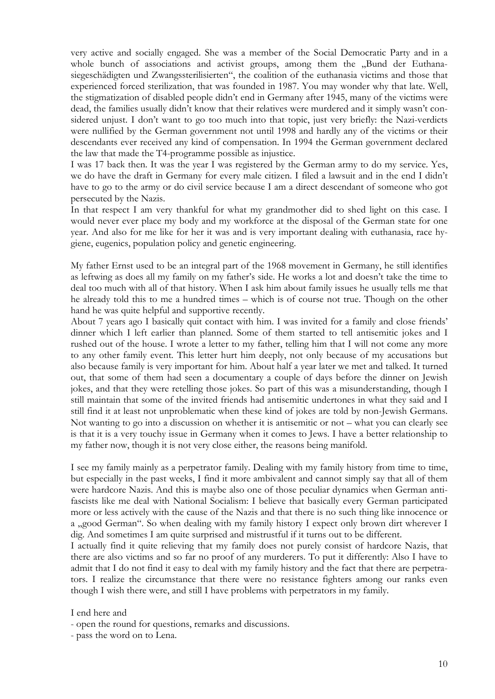very active and socially engaged. She was a member of the Social Democratic Party and in a whole bunch of associations and activist groups, among them the "Bund der Euthanasiegeschädigten und Zwangssterilisierten", the coalition of the euthanasia victims and those that experienced forced sterilization, that was founded in 1987. You may wonder why that late. Well, the stigmatization of disabled people didn't end in Germany after 1945, many of the victims were dead, the families usually didn't know that their relatives were murdered and it simply wasn't considered unjust. I don't want to go too much into that topic, just very briefly: the Nazi-verdicts were nullified by the German government not until 1998 and hardly any of the victims or their descendants ever received any kind of compensation. In 1994 the German government declared the law that made the T4-programme possible as injustice.

I was 17 back then. It was the year I was registered by the German army to do my service. Yes, we do have the draft in Germany for every male citizen. I filed a lawsuit and in the end I didn't have to go to the army or do civil service because I am a direct descendant of someone who got persecuted by the Nazis.

In that respect I am very thankful for what my grandmother did to shed light on this case. I would never ever place my body and my workforce at the disposal of the German state for one year. And also for me like for her it was and is very important dealing with euthanasia, race hygiene, eugenics, population policy and genetic engineering.

My father Ernst used to be an integral part of the 1968 movement in Germany, he still identifies as leftwing as does all my family on my father's side. He works a lot and doesn't take the time to deal too much with all of that history. When I ask him about family issues he usually tells me that he already told this to me a hundred times – which is of course not true. Though on the other hand he was quite helpful and supportive recently.

About 7 years ago I basically quit contact with him. I was invited for a family and close friends' dinner which I left earlier than planned. Some of them started to tell antisemitic jokes and I rushed out of the house. I wrote a letter to my father, telling him that I will not come any more to any other family event. This letter hurt him deeply, not only because of my accusations but also because family is very important for him. About half a year later we met and talked. It turned out, that some of them had seen a documentary a couple of days before the dinner on Jewish jokes, and that they were retelling those jokes. So part of this was a misunderstanding, though I still maintain that some of the invited friends had antisemitic undertones in what they said and I still find it at least not unproblematic when these kind of jokes are told by non-Jewish Germans. Not wanting to go into a discussion on whether it is antisemitic or not – what you can clearly see is that it is a very touchy issue in Germany when it comes to Jews. I have a better relationship to my father now, though it is not very close either, the reasons being manifold.

I see my family mainly as a perpetrator family. Dealing with my family history from time to time, but especially in the past weeks, I find it more ambivalent and cannot simply say that all of them were hardcore Nazis. And this is maybe also one of those peculiar dynamics when German antifascists like me deal with National Socialism: I believe that basically every German participated more or less actively with the cause of the Nazis and that there is no such thing like innocence or a "good German". So when dealing with my family history I expect only brown dirt wherever I dig. And sometimes I am quite surprised and mistrustful if it turns out to be different.

I actually find it quite relieving that my family does not purely consist of hardcore Nazis, that there are also victims and so far no proof of any murderers. To put it differently: Also I have to admit that I do not find it easy to deal with my family history and the fact that there are perpetrators. I realize the circumstance that there were no resistance fighters among our ranks even though I wish there were, and still I have problems with perpetrators in my family.

I end here and

- open the round for questions, remarks and discussions.

- pass the word on to Lena.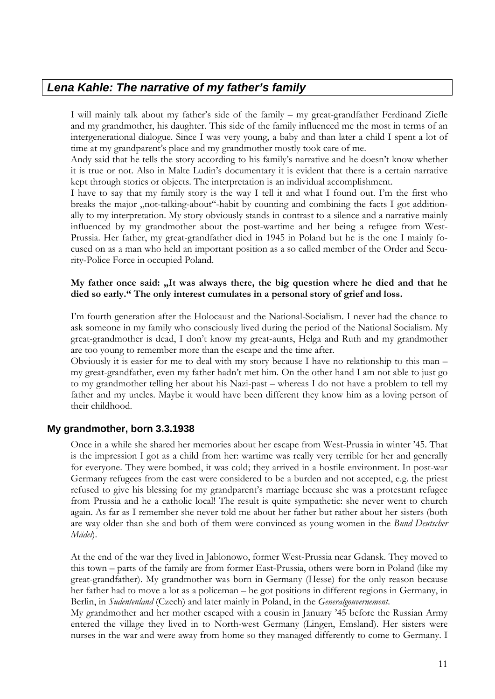# *Lena Kahle: The narrative of my father's family*

I will mainly talk about my father's side of the family – my great-grandfather Ferdinand Ziefle and my grandmother, his daughter. This side of the family influenced me the most in terms of an intergenerational dialogue. Since I was very young, a baby and than later a child I spent a lot of time at my grandparent's place and my grandmother mostly took care of me.

Andy said that he tells the story according to his family's narrative and he doesn't know whether it is true or not. Also in Malte Ludin's documentary it is evident that there is a certain narrative kept through stories or objects. The interpretation is an individual accomplishment.

I have to say that my family story is the way I tell it and what I found out. I'm the first who breaks the major "not-talking-about"-habit by counting and combining the facts I got additionally to my interpretation. My story obviously stands in contrast to a silence and a narrative mainly influenced by my grandmother about the post-wartime and her being a refugee from West-Prussia. Her father, my great-grandfather died in 1945 in Poland but he is the one I mainly focused on as a man who held an important position as a so called member of the Order and Security-Police Force in occupied Poland.

#### My father once said: "It was always there, the big question where he died and that he **died so early." The only interest cumulates in a personal story of grief and loss.**

I'm fourth generation after the Holocaust and the National-Socialism. I never had the chance to ask someone in my family who consciously lived during the period of the National Socialism. My great-grandmother is dead, I don't know my great-aunts, Helga and Ruth and my grandmother are too young to remember more than the escape and the time after.

Obviously it is easier for me to deal with my story because I have no relationship to this man – my great-grandfather, even my father hadn't met him. On the other hand I am not able to just go to my grandmother telling her about his Nazi-past – whereas I do not have a problem to tell my father and my uncles. Maybe it would have been different they know him as a loving person of their childhood.

## **My grandmother, born 3.3.1938**

Once in a while she shared her memories about her escape from West-Prussia in winter '45. That is the impression I got as a child from her: wartime was really very terrible for her and generally for everyone. They were bombed, it was cold; they arrived in a hostile environment. In post-war Germany refugees from the east were considered to be a burden and not accepted, e.g. the priest refused to give his blessing for my grandparent's marriage because she was a protestant refugee from Prussia and he a catholic local! The result is quite sympathetic: she never went to church again. As far as I remember she never told me about her father but rather about her sisters (both are way older than she and both of them were convinced as young women in the *Bund Deutscher Mädel*).

At the end of the war they lived in Jablonowo, former West-Prussia near Gdansk. They moved to this town – parts of the family are from former East-Prussia, others were born in Poland (like my great-grandfather). My grandmother was born in Germany (Hesse) for the only reason because her father had to move a lot as a policeman – he got positions in different regions in Germany, in Berlin, in *Sudentenland* (Czech) and later mainly in Poland, in the *Generalgouvernement*.

My grandmother and her mother escaped with a cousin in January '45 before the Russian Army entered the village they lived in to North-west Germany (Lingen, Emsland). Her sisters were nurses in the war and were away from home so they managed differently to come to Germany. I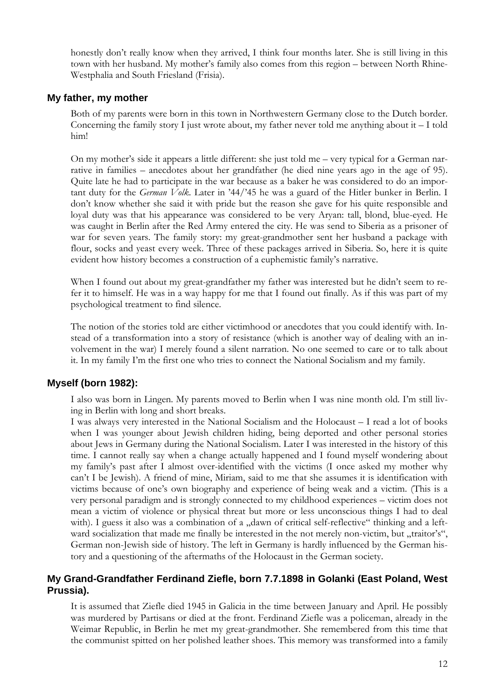honestly don't really know when they arrived, I think four months later. She is still living in this town with her husband. My mother's family also comes from this region – between North Rhine-Westphalia and South Friesland (Frisia).

#### **My father, my mother**

Both of my parents were born in this town in Northwestern Germany close to the Dutch border. Concerning the family story I just wrote about, my father never told me anything about  $it - I$  told him!

On my mother's side it appears a little different: she just told me – very typical for a German narrative in families – anecdotes about her grandfather (he died nine years ago in the age of 95). Quite late he had to participate in the war because as a baker he was considered to do an important duty for the *German Volk*. Later in '44/'45 he was a guard of the Hitler bunker in Berlin. I don't know whether she said it with pride but the reason she gave for his quite responsible and loyal duty was that his appearance was considered to be very Aryan: tall, blond, blue-eyed. He was caught in Berlin after the Red Army entered the city. He was send to Siberia as a prisoner of war for seven years. The family story: my great-grandmother sent her husband a package with flour, socks and yeast every week. Three of these packages arrived in Siberia. So, here it is quite evident how history becomes a construction of a euphemistic family's narrative.

When I found out about my great-grandfather my father was interested but he didn't seem to refer it to himself. He was in a way happy for me that I found out finally. As if this was part of my psychological treatment to find silence.

The notion of the stories told are either victimhood or anecdotes that you could identify with. Instead of a transformation into a story of resistance (which is another way of dealing with an involvement in the war) I merely found a silent narration. No one seemed to care or to talk about it. In my family I'm the first one who tries to connect the National Socialism and my family.

## **Myself (born 1982):**

I also was born in Lingen. My parents moved to Berlin when I was nine month old. I'm still living in Berlin with long and short breaks.

I was always very interested in the National Socialism and the Holocaust – I read a lot of books when I was younger about Jewish children hiding, being deported and other personal stories about Jews in Germany during the National Socialism. Later I was interested in the history of this time. I cannot really say when a change actually happened and I found myself wondering about my family's past after I almost over-identified with the victims (I once asked my mother why can't I be Jewish). A friend of mine, Miriam, said to me that she assumes it is identification with victims because of one's own biography and experience of being weak and a victim. (This is a very personal paradigm and is strongly connected to my childhood experiences – victim does not mean a victim of violence or physical threat but more or less unconscious things I had to deal with). I guess it also was a combination of a "dawn of critical self-reflective" thinking and a leftward socialization that made me finally be interested in the not merely non-victim, but ..traitor's", German non-Jewish side of history. The left in Germany is hardly influenced by the German history and a questioning of the aftermaths of the Holocaust in the German society.

#### **My Grand-Grandfather Ferdinand Ziefle, born 7.7.1898 in Golanki (East Poland, West Prussia).**

It is assumed that Ziefle died 1945 in Galicia in the time between January and April. He possibly was murdered by Partisans or died at the front. Ferdinand Ziefle was a policeman, already in the Weimar Republic, in Berlin he met my great-grandmother. She remembered from this time that the communist spitted on her polished leather shoes. This memory was transformed into a family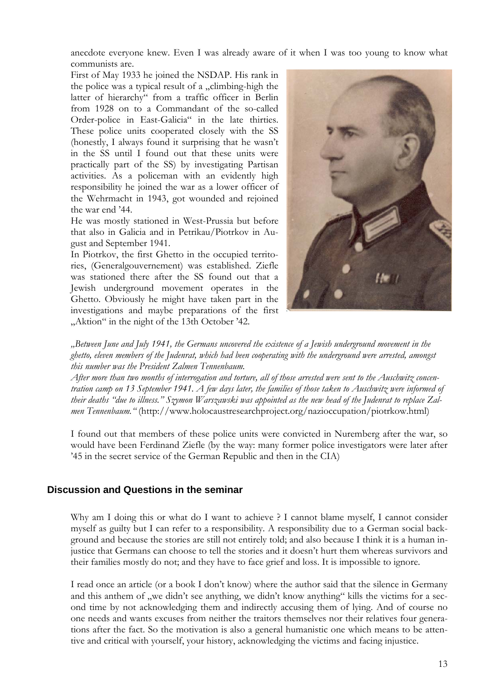anecdote everyone knew. Even I was already aware of it when I was too young to know what communists are.

First of May 1933 he joined the NSDAP. His rank in the police was a typical result of a  $\alpha$ , climbing-high the latter of hierarchy" from a traffic officer in Berlin from 1928 on to a Commandant of the so-called Order-police in East-Galicia" in the late thirties. These police units cooperated closely with the SS (honestly, I always found it surprising that he wasn't in the SS until I found out that these units were practically part of the SS) by investigating Partisan activities. As a policeman with an evidently high responsibility he joined the war as a lower officer of the Wehrmacht in 1943, got wounded and rejoined the war end '44.

He was mostly stationed in West-Prussia but before that also in Galicia and in Petrikau/Piotrkov in August and September 1941.

In Piotrkov, the first Ghetto in the occupied territories, (Generalgouvernement) was established. Ziefle was stationed there after the SS found out that a Jewish underground movement operates in the Ghetto. Obviously he might have taken part in the investigations and maybe preparations of the first "Aktion" in the night of the 13th October '42.



*"Between June and July 1941, the Germans uncovered the existence of a Jewish underground movement in the ghetto, eleven members of the Judenrat, which had been cooperating with the underground were arrested, amongst this number was the President Zalmen Tennenbaum.* 

*After more than two months of interrogation and torture, all of those arrested were sent to the Auschwitz concentration camp on 13 September 1941. A few days later, the families of those taken to Auschwitz were informed of their deaths "due to illness." Szymon Warszawski was appointed as the new head of the Judenrat to replace Zalmen Tennenbaum."* (http://www.holocaustresearchproject.org/nazioccupation/piotrkow.html)

I found out that members of these police units were convicted in Nuremberg after the war, so would have been Ferdinand Ziefle (by the way: many former police investigators were later after '45 in the secret service of the German Republic and then in the CIA)

#### **Discussion and Questions in the seminar**

Why am I doing this or what do I want to achieve ? I cannot blame myself, I cannot consider myself as guilty but I can refer to a responsibility. A responsibility due to a German social background and because the stories are still not entirely told; and also because I think it is a human injustice that Germans can choose to tell the stories and it doesn't hurt them whereas survivors and their families mostly do not; and they have to face grief and loss. It is impossible to ignore.

I read once an article (or a book I don't know) where the author said that the silence in Germany and this anthem of "we didn't see anything, we didn't know anything" kills the victims for a second time by not acknowledging them and indirectly accusing them of lying. And of course no one needs and wants excuses from neither the traitors themselves nor their relatives four generations after the fact. So the motivation is also a general humanistic one which means to be attentive and critical with yourself, your history, acknowledging the victims and facing injustice.